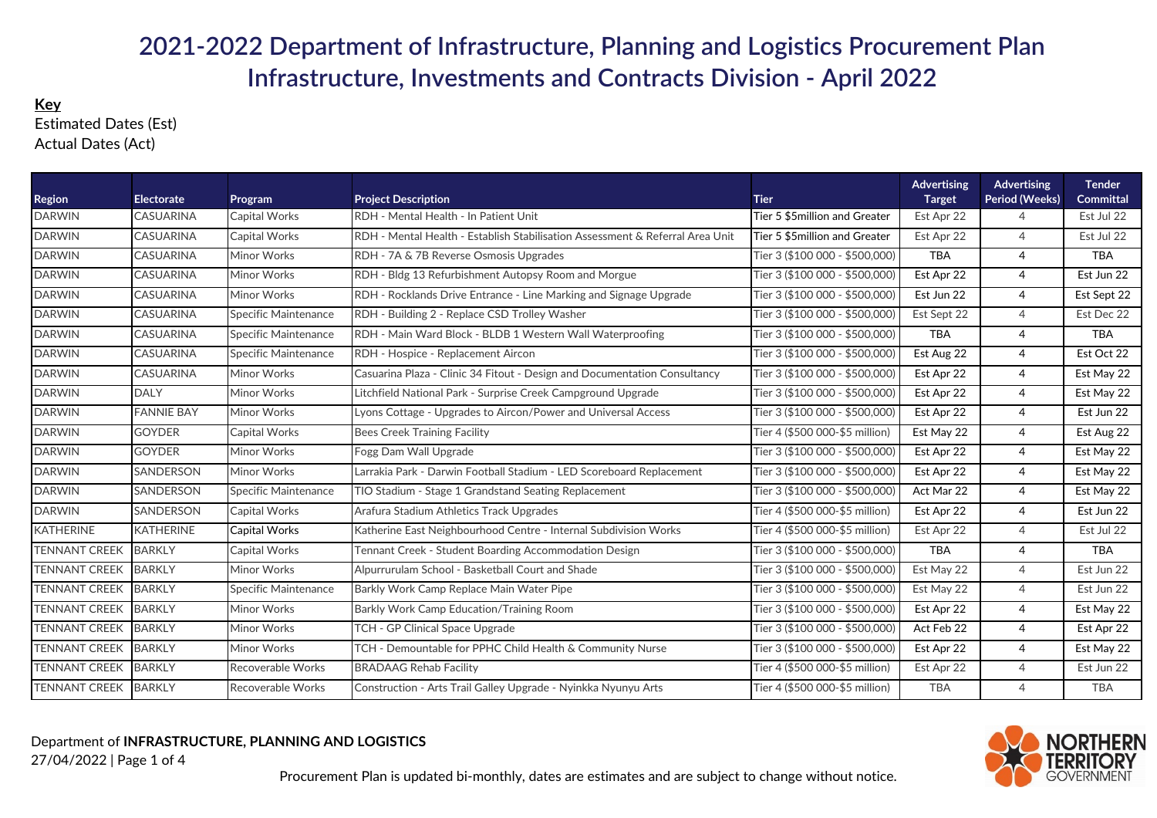## **2021-2022 Department of Infrastructure, Planning and Logistics Procurement Plan Infrastructure, Investments and Contracts Division - April 2022**

## **Key** Estimated Dates (Est)Actual Dates (Act)

| <b>Region</b>        | <b>Electorate</b> | Program              | <b>Project Description</b>                                                    | <b>Tier</b>                    | <b>Advertising</b><br><b>Target</b> | Advertising<br>Period (Weeks) | <b>Tender</b><br>Committal |
|----------------------|-------------------|----------------------|-------------------------------------------------------------------------------|--------------------------------|-------------------------------------|-------------------------------|----------------------------|
| <b>DARWIN</b>        | <b>CASUARINA</b>  | Capital Works        | RDH - Mental Health - In Patient Unit                                         | Tier 5 \$5million and Greater  | Est Apr 22                          | $\overline{4}$                | Est Jul 22                 |
| <b>DARWIN</b>        | <b>CASUARINA</b>  | Capital Works        | RDH - Mental Health - Establish Stabilisation Assessment & Referral Area Unit | Tier 5 \$5million and Greater  | Est Apr 22                          | $\overline{4}$                | Est Jul 22                 |
| <b>DARWIN</b>        | <b>CASUARINA</b>  | Minor Works          | RDH - 7A & 7B Reverse Osmosis Upgrades                                        | Tier 3 (\$100 000 - \$500,000) | <b>TBA</b>                          | $\overline{4}$                | <b>TBA</b>                 |
| <b>DARWIN</b>        | <b>CASUARINA</b>  | Minor Works          | RDH - Bldg 13 Refurbishment Autopsy Room and Morgue                           | Tier 3 (\$100 000 - \$500,000) | Est Apr 22                          | $\overline{4}$                | Est Jun 22                 |
| <b>DARWIN</b>        | <b>CASUARINA</b>  | Minor Works          | RDH - Rocklands Drive Entrance - Line Marking and Signage Upgrade             | Tier 3 (\$100 000 - \$500,000) | Est Jun 22                          | $\overline{4}$                | Est Sept 22                |
| <b>DARWIN</b>        | <b>CASUARINA</b>  | Specific Maintenance | RDH - Building 2 - Replace CSD Trolley Washer                                 | Tier 3 (\$100 000 - \$500,000) | Est Sept 22                         | $\overline{4}$                | Est Dec 22                 |
| <b>DARWIN</b>        | CASUARINA         | Specific Maintenance | RDH - Main Ward Block - BLDB 1 Western Wall Waterproofing                     | Tier 3 (\$100 000 - \$500,000) | <b>TBA</b>                          | $\overline{4}$                | <b>TBA</b>                 |
| <b>DARWIN</b>        | <b>CASUARINA</b>  | Specific Maintenance | RDH - Hospice - Replacement Aircon                                            | Tier 3 (\$100 000 - \$500,000) | Est Aug 22                          | $\overline{4}$                | Est Oct 22                 |
| <b>DARWIN</b>        | <b>CASUARINA</b>  | Minor Works          | Casuarina Plaza - Clinic 34 Fitout - Design and Documentation Consultancy     | Tier 3 (\$100 000 - \$500,000) | Est Apr 22                          | $\overline{4}$                | Est May 22                 |
| <b>DARWIN</b>        | <b>DALY</b>       | Minor Works          | Litchfield National Park - Surprise Creek Campground Upgrade                  | Tier 3 (\$100 000 - \$500,000) | Est Apr 22                          | $\overline{4}$                | Est May 22                 |
| <b>DARWIN</b>        | <b>FANNIE BAY</b> | Minor Works          | Lyons Cottage - Upgrades to Aircon/Power and Universal Access                 | Tier 3 (\$100 000 - \$500,000) | Est Apr 22                          | $\overline{4}$                | Est Jun 22                 |
| <b>DARWIN</b>        | <b>GOYDER</b>     | Capital Works        | <b>Bees Creek Training Facility</b>                                           | Tier 4 (\$500 000-\$5 million) | Est May 22                          | $\overline{4}$                | Est Aug 22                 |
| <b>DARWIN</b>        | <b>GOYDER</b>     | Minor Works          | Fogg Dam Wall Upgrade                                                         | Tier 3 (\$100 000 - \$500,000) | Est Apr 22                          | $\overline{4}$                | Est May 22                 |
| <b>DARWIN</b>        | <b>SANDERSON</b>  | Minor Works          | Larrakia Park - Darwin Football Stadium - LED Scoreboard Replacement          | Tier 3 (\$100 000 - \$500,000) | Est Apr 22                          | $\overline{4}$                | Est May 22                 |
| <b>DARWIN</b>        | <b>SANDERSON</b>  | Specific Maintenance | TIO Stadium - Stage 1 Grandstand Seating Replacement                          | Tier 3 (\$100 000 - \$500,000) | Act Mar 22                          | $\overline{4}$                | Est May 22                 |
| <b>DARWIN</b>        | <b>SANDERSON</b>  | Capital Works        | Arafura Stadium Athletics Track Upgrades                                      | Tier 4 (\$500 000-\$5 million) | Est Apr 22                          | $\overline{4}$                | Est Jun 22                 |
| <b>KATHERINE</b>     | <b>KATHERINE</b>  | Capital Works        | Katherine East Neighbourhood Centre - Internal Subdivision Works              | Tier 4 (\$500 000-\$5 million) | Est Apr 22                          | $\overline{4}$                | Est Jul 22                 |
| <b>TENNANT CREEK</b> | <b>BARKLY</b>     | Capital Works        | Tennant Creek - Student Boarding Accommodation Design                         | Tier 3 (\$100 000 - \$500,000) | <b>TBA</b>                          | $\overline{4}$                | <b>TBA</b>                 |
| <b>TENNANT CREEK</b> | <b>BARKLY</b>     | Minor Works          | Alpurrurulam School - Basketball Court and Shade                              | Tier 3 (\$100 000 - \$500,000) | Est May 22                          | $\overline{4}$                | Est Jun 22                 |
| <b>TENNANT CREEK</b> | <b>BARKLY</b>     | Specific Maintenance | Barkly Work Camp Replace Main Water Pipe                                      | Tier 3 (\$100 000 - \$500,000) | Est May 22                          | $\overline{4}$                | Est Jun 22                 |
| <b>TENNANT CREEK</b> | <b>BARKLY</b>     | Minor Works          | Barkly Work Camp Education/Training Room                                      | Tier 3 (\$100 000 - \$500,000) | Est Apr 22                          | $\overline{4}$                | Est May 22                 |
| <b>TENNANT CREEK</b> | <b>BARKLY</b>     | Minor Works          | TCH - GP Clinical Space Upgrade                                               | Tier 3 (\$100 000 - \$500,000) | Act Feb 22                          | $\overline{4}$                | Est Apr 22                 |
| <b>TENNANT CREEK</b> | <b>BARKLY</b>     | Minor Works          | TCH - Demountable for PPHC Child Health & Community Nurse                     | Tier 3 (\$100 000 - \$500,000) | Est Apr 22                          | $\overline{4}$                | Est May 22                 |
| <b>TENNANT CREEK</b> | <b>BARKLY</b>     | Recoverable Works    | <b>BRADAAG Rehab Facility</b>                                                 | Tier 4 (\$500 000-\$5 million) | Est Apr 22                          | $\overline{4}$                | Est Jun 22                 |
| <b>TENNANT CREEK</b> | <b>BARKLY</b>     | Recoverable Works    | Construction - Arts Trail Galley Upgrade - Nyinkka Nyunyu Arts                | Tier 4 (\$500 000-\$5 million) | <b>TBA</b>                          | $\overline{4}$                | <b>TBA</b>                 |

Department of **INFRASTRUCTURE, PLANNING AND LOGISTICS**27/04/2022 | Page 1 of 4

Procurement Plan is updated bi-monthly, dates are estimates and are subject to change without notice.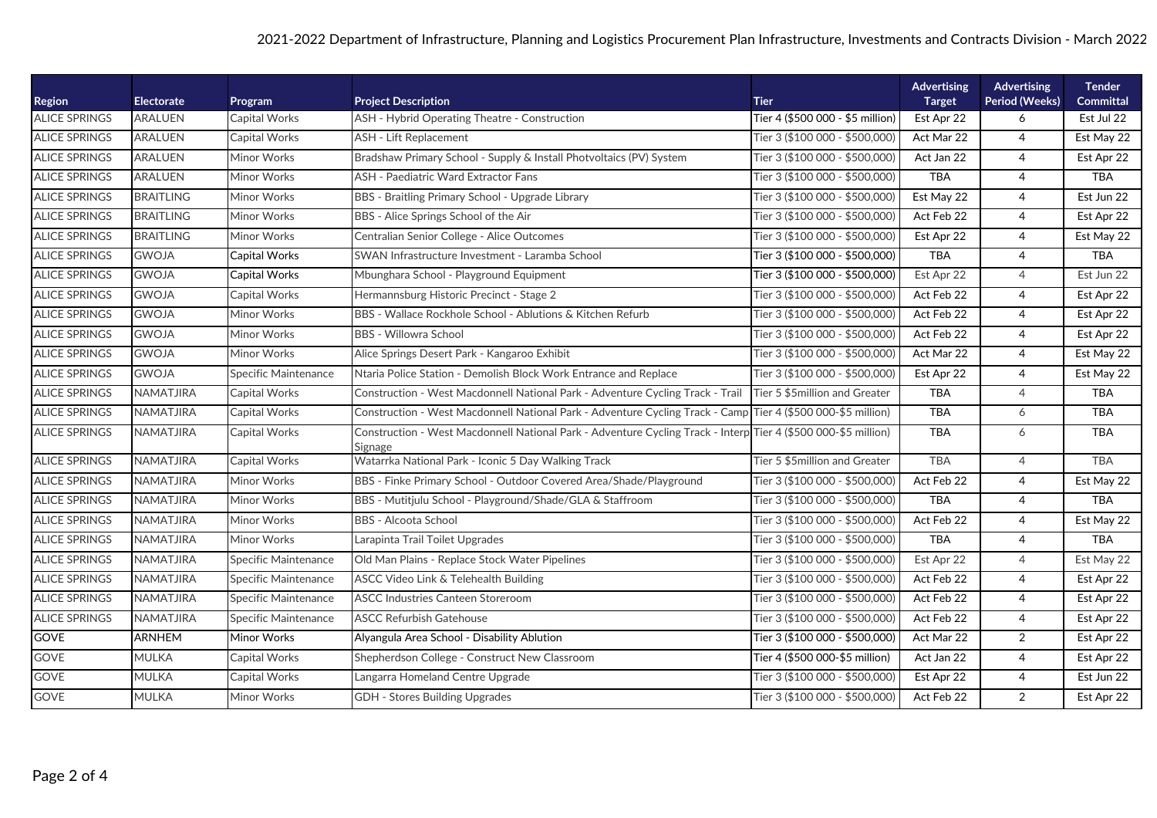| <b>Region</b>        | <b>Electorate</b> | Program                     | <b>Project Description</b>                                                                                                | <b>Tier</b>                      | <b>Advertising</b><br><b>Target</b> | Advertising<br><b>Period (Weeks)</b> | <b>Tender</b><br><b>Committal</b> |
|----------------------|-------------------|-----------------------------|---------------------------------------------------------------------------------------------------------------------------|----------------------------------|-------------------------------------|--------------------------------------|-----------------------------------|
| <b>ALICE SPRINGS</b> | <b>ARALUEN</b>    | Capital Works               | ASH - Hybrid Operating Theatre - Construction                                                                             | Tier 4 (\$500 000 - \$5 million) | Est Apr 22                          | 6                                    | Est Jul 22                        |
| <b>ALICE SPRINGS</b> | <b>ARALUEN</b>    | <b>Capital Works</b>        | ASH - Lift Replacement                                                                                                    | Tier 3 (\$100 000 - \$500,000)   | Act Mar 22                          | $\overline{4}$                       | Est May 22                        |
| <b>ALICE SPRINGS</b> | <b>ARALUEN</b>    | Minor Works                 | Bradshaw Primary School - Supply & Install Photvoltaics (PV) System                                                       | Tier 3 (\$100 000 - \$500,000)   | Act Jan 22                          | $\overline{4}$                       | Est Apr 22                        |
| <b>ALICE SPRINGS</b> | ARALUEN           | Minor Works                 | <b>ASH - Paediatric Ward Extractor Fans</b>                                                                               | Tier 3 (\$100 000 - \$500,000)   | <b>TBA</b>                          | $\overline{4}$                       | <b>TBA</b>                        |
| <b>ALICE SPRINGS</b> | <b>BRAITLING</b>  | Minor Works                 | BBS - Braitling Primary School - Upgrade Library                                                                          | Tier 3 (\$100 000 - \$500,000)   | Est May 22                          | $\overline{4}$                       | Est Jun 22                        |
| <b>ALICE SPRINGS</b> | <b>BRAITLING</b>  | Minor Works                 | BBS - Alice Springs School of the Air                                                                                     | Tier 3 (\$100 000 - \$500,000)   | Act Feb 22                          | $\overline{4}$                       | Est Apr 22                        |
| <b>ALICE SPRINGS</b> | <b>BRAITLING</b>  | Minor Works                 | Centralian Senior College - Alice Outcomes                                                                                | Tier 3 (\$100 000 - \$500,000)   | Est Apr 22                          | $\overline{4}$                       | Est May 22                        |
| <b>ALICE SPRINGS</b> | <b>GWOJA</b>      | Capital Works               | SWAN Infrastructure Investment - Laramba School                                                                           | Tier 3 (\$100 000 - \$500,000)   | TBA                                 | $\overline{4}$                       | <b>TBA</b>                        |
| <b>ALICE SPRINGS</b> | <b>GWOJA</b>      | Capital Works               | Mbunghara School - Playground Equipment                                                                                   | Tier 3 (\$100 000 - \$500,000)   | Est Apr 22                          | $\overline{4}$                       | Est Jun 22                        |
| <b>ALICE SPRINGS</b> | <b>GWOJA</b>      | Capital Works               | Hermannsburg Historic Precinct - Stage 2                                                                                  | Tier 3 (\$100 000 - \$500,000)   | Act Feb 22                          | $\overline{4}$                       | Est Apr 22                        |
| <b>ALICE SPRINGS</b> | <b>GWOJA</b>      | Minor Works                 | BBS - Wallace Rockhole School - Ablutions & Kitchen Refurb                                                                | Tier 3 (\$100 000 - \$500,000)   | Act Feb 22                          | $\overline{4}$                       | Est Apr 22                        |
| <b>ALICE SPRINGS</b> | <b>GWOJA</b>      | Minor Works                 | <b>BBS - Willowra School</b>                                                                                              | Tier 3 (\$100 000 - \$500,000)   | Act Feb 22                          | $\overline{4}$                       | Est Apr 22                        |
| <b>ALICE SPRINGS</b> | <b>GWOJA</b>      | Minor Works                 | Alice Springs Desert Park - Kangaroo Exhibit                                                                              | Tier 3 (\$100 000 - \$500,000)   | Act Mar 22                          | $\overline{4}$                       | Est May 22                        |
| <b>ALICE SPRINGS</b> | <b>GWOJA</b>      | Specific Maintenance        | Ntaria Police Station - Demolish Block Work Entrance and Replace                                                          | Tier 3 (\$100 000 - \$500,000)   | Est Apr 22                          | $\overline{4}$                       | Est May 22                        |
| <b>ALICE SPRINGS</b> | <b>NAMATJIRA</b>  | Capital Works               | Construction - West Macdonnell National Park - Adventure Cycling Track - Trail                                            | Tier 5 \$5million and Greater    | <b>TBA</b>                          | $\overline{4}$                       | <b>TBA</b>                        |
| <b>ALICE SPRINGS</b> | NAMATJIRA         | Capital Works               | Construction - West Macdonnell National Park - Adventure Cycling Track - Camp Tier 4 (\$500 000-\$5 million)              |                                  | <b>TBA</b>                          | 6                                    | <b>TBA</b>                        |
| <b>ALICE SPRINGS</b> | NAMATJIRA         | Capital Works               | Construction - West Macdonnell National Park - Adventure Cycling Track - Interp Tier 4 (\$500 000-\$5 million)<br>Signage |                                  | <b>TBA</b>                          | 6                                    | <b>TBA</b>                        |
| <b>ALICE SPRINGS</b> | NAMATJIRA         | Capital Works               | Watarrka National Park - Iconic 5 Day Walking Track                                                                       | Tier 5 \$5million and Greater    | <b>TBA</b>                          | $\overline{4}$                       | <b>TBA</b>                        |
| <b>ALICE SPRINGS</b> | NAMATJIRA         | Minor Works                 | BBS - Finke Primary School - Outdoor Covered Area/Shade/Playground                                                        | Tier 3 (\$100 000 - \$500,000)   | Act Feb 22                          | $\overline{4}$                       | Est May 22                        |
| <b>ALICE SPRINGS</b> | NAMATJIRA         | Minor Works                 | BBS - Mutitjulu School - Playground/Shade/GLA & Staffroom                                                                 | Tier 3 (\$100 000 - \$500,000)   | <b>TBA</b>                          | $\overline{4}$                       | <b>TBA</b>                        |
| <b>ALICE SPRINGS</b> | NAMATJIRA         | Minor Works                 | <b>BBS - Alcoota School</b>                                                                                               | Tier 3 (\$100 000 - \$500,000)   | Act Feb 22                          | $\overline{4}$                       | Est May 22                        |
| <b>ALICE SPRINGS</b> | NAMATJIRA         | Minor Works                 | Larapinta Trail Toilet Upgrades                                                                                           | Tier 3 (\$100 000 - \$500,000)   | <b>TBA</b>                          | $\overline{4}$                       | <b>TBA</b>                        |
| <b>ALICE SPRINGS</b> | NAMATJIRA         | Specific Maintenance        | Old Man Plains - Replace Stock Water Pipelines                                                                            | Tier 3 (\$100 000 - \$500,000)   | Est Apr 22                          | $\overline{4}$                       | Est May 22                        |
| <b>ALICE SPRINGS</b> | NAMATJIRA         | <b>Specific Maintenance</b> | <b>ASCC Video Link &amp; Telehealth Building</b>                                                                          | Tier 3 (\$100 000 - \$500,000)   | Act Feb 22                          | $\overline{4}$                       | Est Apr 22                        |
| <b>ALICE SPRINGS</b> | NAMATJIRA         | Specific Maintenance        | <b>ASCC Industries Canteen Storeroom</b>                                                                                  | Tier 3 (\$100 000 - \$500,000)   | Act Feb 22                          | $\overline{4}$                       | Est Apr 22                        |
| <b>ALICE SPRINGS</b> | NAMATJIRA         | <b>Specific Maintenance</b> | <b>ASCC Refurbish Gatehouse</b>                                                                                           | Tier 3 (\$100 000 - \$500,000)   | Act Feb 22                          | $\overline{4}$                       | Est Apr 22                        |
| <b>GOVE</b>          | <b>ARNHEM</b>     | Minor Works                 | Alyangula Area School - Disability Ablution                                                                               | Tier 3 (\$100 000 - \$500,000)   | Act Mar 22                          | $\overline{2}$                       | Est Apr 22                        |
| <b>GOVE</b>          | <b>MULKA</b>      | Capital Works               | Shepherdson College - Construct New Classroom                                                                             | Tier 4 (\$500 000-\$5 million)   | Act Jan 22                          | $\overline{4}$                       | Est Apr 22                        |
| GOVE                 | <b>MULKA</b>      | Capital Works               | Langarra Homeland Centre Upgrade                                                                                          | Tier 3 (\$100 000 - \$500,000)   | Est Apr 22                          | $\overline{4}$                       | Est Jun 22                        |
| GOVE                 | <b>MULKA</b>      | Minor Works                 | GDH - Stores Building Upgrades                                                                                            | Tier 3 (\$100 000 - \$500,000)   | Act Feb 22                          | $\overline{2}$                       | Est Apr 22                        |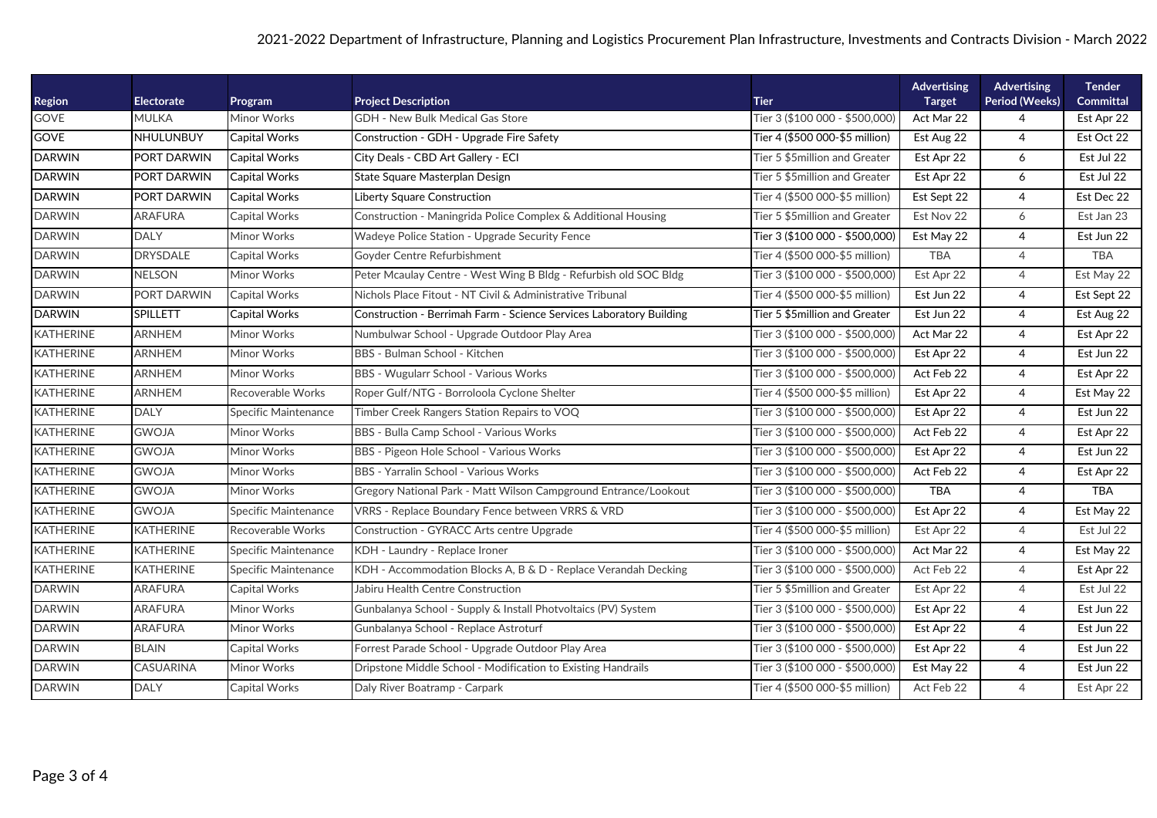## 2021-2022 Department of Infrastructure, Planning and Logistics Procurement Plan Infrastructure, Investments and Contracts Division - March 2022

| Region           | <b>Electorate</b> | Program                     | <b>Project Description</b>                                          | <b>Tier</b>                    | Advertising<br><b>Target</b> | Advertising<br>Period (Weeks) | <b>Tender</b><br>Committal |
|------------------|-------------------|-----------------------------|---------------------------------------------------------------------|--------------------------------|------------------------------|-------------------------------|----------------------------|
| <b>GOVE</b>      | <b>MULKA</b>      | Minor Works                 | GDH - New Bulk Medical Gas Store                                    | Tier 3 (\$100 000 - \$500,000) | Act Mar 22                   | 4                             | Est Apr 22                 |
| <b>GOVE</b>      | NHULUNBUY         | <b>Capital Works</b>        | Construction - GDH - Upgrade Fire Safety                            | Tier 4 (\$500 000-\$5 million) | Est Aug 22                   | $\overline{4}$                | Est Oct 22                 |
| <b>DARWIN</b>    | PORT DARWIN       | <b>Capital Works</b>        | City Deals - CBD Art Gallery - ECI                                  | Tier 5 \$5million and Greater  | Est Apr 22                   | 6                             | Est Jul 22                 |
| <b>DARWIN</b>    | PORT DARWIN       | <b>Capital Works</b>        | State Square Masterplan Design                                      | Tier 5 \$5million and Greater  | Est Apr 22                   | 6                             | Est Jul 22                 |
| <b>DARWIN</b>    | PORT DARWIN       | <b>Capital Works</b>        | <b>Liberty Square Construction</b>                                  | Tier 4 (\$500 000-\$5 million) | Est Sept 22                  | $\overline{4}$                | Est Dec 22                 |
| <b>DARWIN</b>    | <b>ARAFURA</b>    | Capital Works               | Construction - Maningrida Police Complex & Additional Housing       | Tier 5 \$5million and Greater  | Est Nov 22                   | 6                             | Est Jan 23                 |
| <b>DARWIN</b>    | <b>DALY</b>       | <b>Minor Works</b>          | Wadeye Police Station - Upgrade Security Fence                      | Tier 3 (\$100 000 - \$500,000) | Est May 22                   | $\overline{4}$                | Est Jun 22                 |
| <b>DARWIN</b>    | <b>DRYSDALE</b>   | Capital Works               | Goyder Centre Refurbishment                                         | Tier 4 (\$500 000-\$5 million) | <b>TBA</b>                   | $\overline{4}$                | <b>TBA</b>                 |
| <b>DARWIN</b>    | <b>NELSON</b>     | Minor Works                 | Peter Mcaulay Centre - West Wing B Bldg - Refurbish old SOC Bldg    | Tier 3 (\$100 000 - \$500,000) | Est Apr 22                   | $\overline{4}$                | Est May 22                 |
| <b>DARWIN</b>    | PORT DARWIN       | <b>Capital Works</b>        | Nichols Place Fitout - NT Civil & Administrative Tribunal           | Tier 4 (\$500 000-\$5 million) | Est Jun 22                   | $\overline{4}$                | Est Sept 22                |
| <b>DARWIN</b>    | <b>SPILLETT</b>   | <b>Capital Works</b>        | Construction - Berrimah Farm - Science Services Laboratory Building | Tier 5 \$5million and Greater  | Est Jun 22                   | $\overline{4}$                | Est Aug 22                 |
| <b>KATHERINE</b> | <b>ARNHEM</b>     | Minor Works                 | Numbulwar School - Upgrade Outdoor Play Area                        | Tier 3 (\$100 000 - \$500,000) | Act Mar 22                   | $\overline{4}$                | Est Apr 22                 |
| <b>KATHERINE</b> | <b>ARNHEM</b>     | Minor Works                 | BBS - Bulman School - Kitchen                                       | Tier 3 (\$100 000 - \$500,000) | Est Apr 22                   | 4                             | Est Jun 22                 |
| <b>KATHERINE</b> | <b>ARNHEM</b>     | <b>Minor Works</b>          | BBS - Wugularr School - Various Works                               | Tier 3 (\$100 000 - \$500,000) | Act Feb 22                   | $\overline{4}$                | Est Apr 22                 |
| <b>KATHERINE</b> | ARNHEM            | Recoverable Works           | Roper Gulf/NTG - Borroloola Cyclone Shelter                         | Tier 4 (\$500 000-\$5 million) | Est Apr 22                   | 4                             | Est May 22                 |
| <b>KATHERINE</b> | <b>DALY</b>       | Specific Maintenance        | Timber Creek Rangers Station Repairs to VOQ                         | Tier 3 (\$100 000 - \$500,000) | Est Apr 22                   | 4                             | Est Jun 22                 |
| <b>KATHERINE</b> | <b>GWOJA</b>      | Minor Works                 | BBS - Bulla Camp School - Various Works                             | Tier 3 (\$100 000 - \$500,000) | Act Feb 22                   | $\overline{4}$                | Est Apr 22                 |
| <b>KATHERINE</b> | <b>GWOJA</b>      | Minor Works                 | BBS - Pigeon Hole School - Various Works                            | Tier 3 (\$100 000 - \$500,000) | Est Apr 22                   | $\overline{4}$                | Est Jun 22                 |
| <b>KATHERINE</b> | <b>GWOJA</b>      | Minor Works                 | BBS - Yarralin School - Various Works                               | Tier 3 (\$100 000 - \$500,000) | Act Feb 22                   | $\overline{4}$                | Est Apr 22                 |
| <b>KATHERINE</b> | <b>GWOJA</b>      | <b>Minor Works</b>          | Gregory National Park - Matt Wilson Campground Entrance/Lookout     | Tier 3 (\$100 000 - \$500,000) | <b>TBA</b>                   | 4                             | <b>TBA</b>                 |
| <b>KATHERINE</b> | <b>GWOJA</b>      | Specific Maintenance        | VRRS - Replace Boundary Fence between VRRS & VRD                    | Tier 3 (\$100 000 - \$500,000) | Est Apr 22                   | $\overline{4}$                | Est May 22                 |
| <b>KATHERINE</b> | <b>KATHERINE</b>  | Recoverable Works           | Construction - GYRACC Arts centre Upgrade                           | Tier 4 (\$500 000-\$5 million) | Est Apr 22                   | $\overline{4}$                | Est Jul 22                 |
| <b>KATHERINE</b> | <b>KATHERINE</b>  | Specific Maintenance        | KDH - Laundry - Replace Ironer                                      | Tier 3 (\$100 000 - \$500,000) | Act Mar 22                   | $\overline{4}$                | Est May 22                 |
| <b>KATHERINE</b> | <b>KATHERINE</b>  | <b>Specific Maintenance</b> | KDH - Accommodation Blocks A, B & D - Replace Verandah Decking      | Tier 3 (\$100 000 - \$500,000) | Act Feb 22                   | $\overline{4}$                | Est Apr 22                 |
| <b>DARWIN</b>    | <b>ARAFURA</b>    | Capital Works               | Jabiru Health Centre Construction                                   | Tier 5 \$5million and Greater  | Est Apr 22                   | $\overline{4}$                | Est Jul 22                 |
| <b>DARWIN</b>    | <b>ARAFURA</b>    | <b>Minor Works</b>          | Gunbalanya School - Supply & Install Photvoltaics (PV) System       | Tier 3 (\$100 000 - \$500,000) | Est Apr 22                   | 4                             | Est Jun 22                 |
| <b>DARWIN</b>    | <b>ARAFURA</b>    | Minor Works                 | Gunbalanya School - Replace Astroturf                               | Tier 3 (\$100 000 - \$500,000) | Est Apr 22                   | $\overline{4}$                | Est Jun 22                 |
| <b>DARWIN</b>    | <b>BLAIN</b>      | Capital Works               | Forrest Parade School - Upgrade Outdoor Play Area                   | Tier 3 (\$100 000 - \$500,000) | Est Apr 22                   | 4                             | Est Jun 22                 |
| <b>DARWIN</b>    | CASUARINA         | <b>Minor Works</b>          | Dripstone Middle School - Modification to Existing Handrails        | Tier 3 (\$100 000 - \$500,000) | Est May 22                   | $\overline{4}$                | Est Jun 22                 |
| <b>DARWIN</b>    | <b>DALY</b>       | Capital Works               | Daly River Boatramp - Carpark                                       | Tier 4 (\$500 000-\$5 million) | Act Feb 22                   | $\overline{4}$                | Est Apr 22                 |